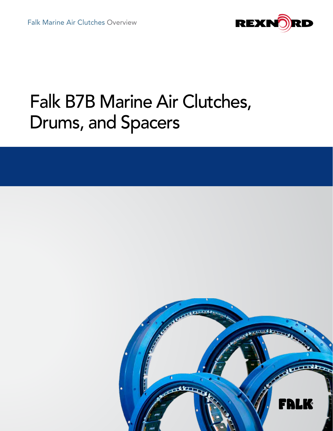

# Falk B7B Marine Air Clutches, Drums, and Spacers

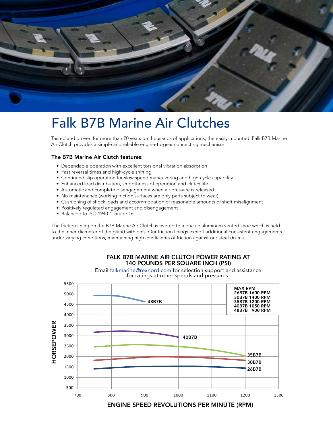

## Falk B7B Marine Air Clutches

Tested and proven for more than 70 years on thousands of applications, the easily-mounted Falk B7B Marine Air Clutch provides a simple and reliable engine-to-gear connecting mechanism.

#### The B7B Marine Air Clutch features:

- Dependable operation with excellent torsional vibration absorption
- Fast reversal times and high-cycle shifting
- Continued slip operation for slow speed maneuvering and high-cycle capability
- Enhanced load distribution, smoothness of operation and clutch life
- Automatic and complete disengagement when air pressure is released
- No maintenance (working friction surfaces are only parts subject to wear)
- Cushioning of shock loads and accommodation of reasonable amounts of shaft misalignment
- Positively regulated engagement and disengagement
- Balanced to ISO 1940-1 Grade 16

The friction lining on the B7B Marine Air Clutch is riveted to a ductile aluminum vented shoe which is held to the inner diameter of the gland with pins. Our friction linings exhibit additional consistent engagements under varying conditions, maintaining high coefficients of friction against our steel drums.



FALK B7B MARINE AIR CLUTCH POWER RATING AT

ENGINE SPEED REVOLUTIONS PER MINUTE (RPM)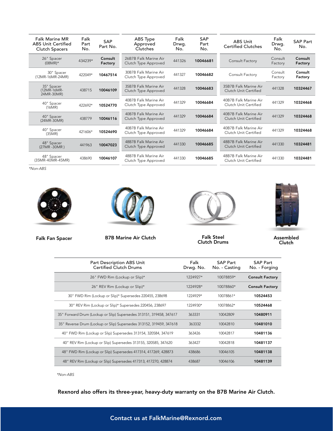| <b>Falk Marine MR</b><br><b>ABS Unit Certified</b><br><b>Clutch Spacers</b> | Falk<br>Part<br>No. | <b>SAP</b><br>Part No. | ABS Type<br>Approved<br>Clutches              | Falk<br>Drwg.<br>No. | <b>SAP</b><br>Part<br>No. | ABS Unit<br><b>Certified Clutches</b>          | Falk<br>Drwg.<br>No. | <b>SAP Part</b><br>No. |
|-----------------------------------------------------------------------------|---------------------|------------------------|-----------------------------------------------|----------------------|---------------------------|------------------------------------------------|----------------------|------------------------|
| 26" Spacer<br>$(08MR)^*$                                                    | 434239*             | Consult<br>Factory     | 26B7B Falk Marine Air<br>Clutch Type Approved | 441326               | 10046681                  | Consult Factory                                | Consult<br>Factory   | Consult<br>Factory     |
| 30" Spacer<br>(12MR-16MR-24MR)                                              | 422049*             | 10467514               | 30B7B Falk Marine Air<br>Clutch Type Approved | 441327               | 10046682                  | Consult Factory                                | Consult<br>Factory   | Consult<br>Factory     |
| 35" Spacer<br>(12MR-16MR-<br>24MR-30MR)                                     | 438715              | 10046109               | 35B7B Falk Marine Air<br>Clutch Type Approved | 441328               | 10046683                  | 35B7B Falk Marine Air<br>Clutch Unit Certified | 441328               | 10324467               |
| 40" Spacer<br>(16MR)                                                        | 422692*             | 10524770               | 40B7B Falk Marine Air<br>Clutch Type Approved | 441329               | 10046684                  | 40B7B Falk Marine Air<br>Clutch Unit Certified | 441329               | 10324468               |
| 40" Spacer<br>$(24MR-30MR)$                                                 | 438779              | 10046116               | 40B7B Falk Marine Air<br>Clutch Type Approved | 441329               | 10046684                  | 40B7B Falk Marine Air<br>Clutch Unit Certified | 441329               | 10324468               |
| 40" Spacer<br>(35MR)                                                        | 421606*             | 10524690               | 40B7B Falk Marine Air<br>Clutch Type Approved | 441329               | 10046684                  | 40B7B Falk Marine Air<br>Clutch Unit Certified | 441329               | 10324468               |
| 48" Spacer<br>(27MR-30MR)                                                   | 441963              | 10047023               | 48B7B Falk Marine Air<br>Clutch Type Approved | 441330               | 10046685                  | 48B7B Falk Marine Air<br>Clutch Unit Certified | 441330               | 10324481               |
| 48" Spacer<br>(35MR-40MR-45MR)                                              | 438690              | 10046107               | 48B7B Falk Marine Air<br>Clutch Type Approved | 441330               | 10046685                  | 48B7B Falk Marine Air<br>Clutch Unit Certified | 441330               | 10324481               |

*\*Non-ABS*



Falk Fan Spacer B7B Marine Air Clutch



Falk Steel Clutch Drums



Assembled Clutch

| Part Description ABS Unit<br><b>Certified Clutch Drums</b>          | Falk<br>Drwg. No. | <b>SAP Part</b><br>No. - Casting | <b>SAP Part</b><br>No. - Forging |
|---------------------------------------------------------------------|-------------------|----------------------------------|----------------------------------|
| 26" FWD Rim (Lockup or Slip)*                                       | 1224927*          | 10078859*                        | <b>Consult Factory</b>           |
| 26" REV Rim (Lockup or Slip)*                                       | 1224928*          | 10078860*                        | <b>Consult Factory</b>           |
| 30" FWD Rim (Lockup or Slip)* Supersedes 220455, 238698             | 1224929*          | 10078861*                        | 10524453                         |
| 30" REV Rim (Lockup or Slip)* Supersedes 220456, 238697             | 1224930*          | 10078862*                        | 10524468                         |
| 35" Forward Drum (Lockup or Slip) Supersedes 313151, 319458, 347617 | 363331            | 10042809                         | 10480911                         |
| 35" Reverse Drum (Lockup or Slip) Supersedes 313152, 319459, 347618 | 363332            | 10042810                         | 10481010                         |
| 40" FWD Rim (Lockup or Slip) Supersedes 313154, 320584, 347619      | 363426            | 10042817                         | 10481136                         |
| 40" REV Rim (Lockup or Slip) Supersedes 313155, 320585, 347620      | 363427            | 10042818                         | 10481137                         |
| 48" FWD Rim (Lockup or Slip) Supersedes 417314, 417269, 428873      | 438686            | 10046105                         | 10481138                         |
| 48" REV Rim (Lockup or Slip) Supersedes 417313, 417270, 428874      | 438687            | 10046106                         | 10481139                         |

*\*Non-ABS*

Rexnord also offers its three-year, heavy-duty warranty on the B7B Marine Air Clutch.